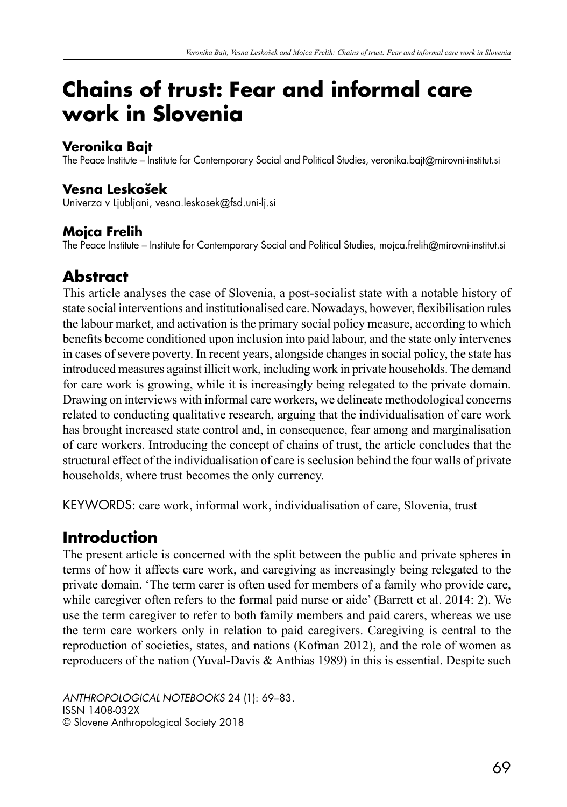# **Chains of trust: Fear and informal care work in Slovenia**

#### **Veronika Bajt**

The Peace Institute – Institute for Contemporary Social and Political Studies, veronika.bajt@mirovni-institut.si

#### **Vesna Lesko{ek**

Univerza v Ljubljani, vesna.leskosek@fsd.uni-lj.si

#### **Mojca Frelih**

The Peace Institute – Institute for Contemporary Social and Political Studies, mojca.frelih@mirovni-institut.si

# **Abstract**

This article analyses the case of Slovenia, a post-socialist state with a notable history of state social interventions and institutionalised care. Nowadays, however, flexibilisation rules the labour market, and activation is the primary social policy measure, according to which benefits become conditioned upon inclusion into paid labour, and the state only intervenes in cases of severe poverty. In recent years, alongside changes in social policy, the state has introduced measures against illicit work, including work in private households. The demand for care work is growing, while it is increasingly being relegated to the private domain. Drawing on interviews with informal care workers, we delineate methodological concerns related to conducting qualitative research, arguing that the individualisation of care work has brought increased state control and, in consequence, fear among and marginalisation of care workers. Introducing the concept of chains of trust, the article concludes that the structural effect of the individualisation of care is seclusion behind the four walls of private households, where trust becomes the only currency.

KEYWORDS: care work, informal work, individualisation of care, Slovenia, trust

# **Introduction**

The present article is concerned with the split between the public and private spheres in terms of how it affects care work, and caregiving as increasingly being relegated to the private domain. 'The term carer is often used for members of a family who provide care, while caregiver often refers to the formal paid nurse or aide' (Barrett et al. 2014: 2). We use the term caregiver to refer to both family members and paid carers, whereas we use the term care workers only in relation to paid caregivers. Caregiving is central to the reproduction of societies, states, and nations (Kofman 2012), and the role of women as reproducers of the nation (Yuval-Davis & Anthias 1989) in this is essential. Despite such

*ANTHROPOLOGICAL NOTEBOOKS* 24 (1): 69–83. ISSN 1408-032X © Slovene Anthropological Society 2018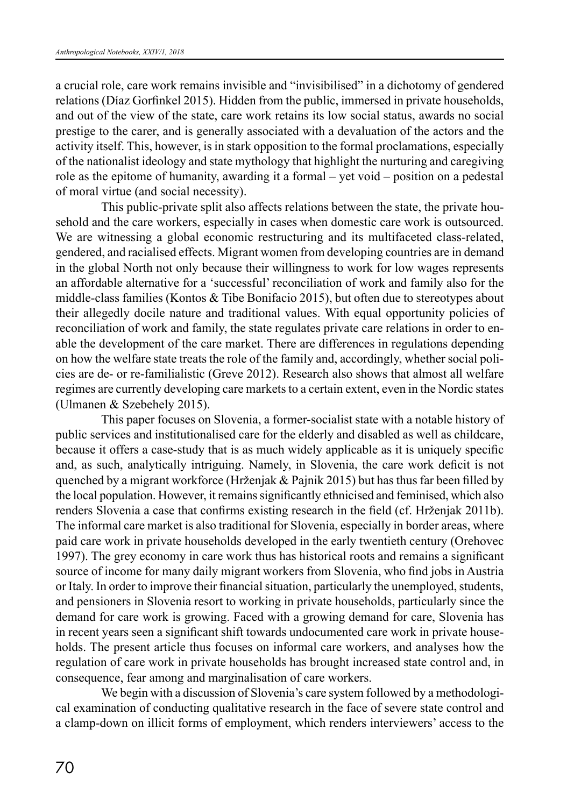a crucial role, care work remains invisible and "invisibilised" in a dichotomy of gendered relations (Díaz Gorfinkel 2015). Hidden from the public, immersed in private households, and out of the view of the state, care work retains its low social status, awards no social prestige to the carer, and is generally associated with a devaluation of the actors and the activity itself. This, however, is in stark opposition to the formal proclamations, especially of the nationalist ideology and state mythology that highlight the nurturing and caregiving role as the epitome of humanity, awarding it a formal – yet void – position on a pedestal of moral virtue (and social necessity).

This public-private split also affects relations between the state, the private household and the care workers, especially in cases when domestic care work is outsourced. We are witnessing a global economic restructuring and its multifaceted class-related, gendered, and racialised effects. Migrant women from developing countries are in demand in the global North not only because their willingness to work for low wages represents an affordable alternative for a 'successful' reconciliation of work and family also for the middle-class families (Kontos & Tibe Bonifacio 2015), but often due to stereotypes about their allegedly docile nature and traditional values. With equal opportunity policies of reconciliation of work and family, the state regulates private care relations in order to enable the development of the care market. There are differences in regulations depending on how the welfare state treats the role of the family and, accordingly, whether social policies are de- or re-familialistic (Greve 2012). Research also shows that almost all welfare regimes are currently developing care markets to a certain extent, even in the Nordic states (Ulmanen & Szebehely 2015).

This paper focuses on Slovenia, a former-socialist state with a notable history of public services and institutionalised care for the elderly and disabled as well as childcare, because it offers a case-study that is as much widely applicable as it is uniquely specific and, as such, analytically intriguing. Namely, in Slovenia, the care work deficit is not quenched by a migrant workforce (Hrženjak & Pajnik 2015) but has thus far been filled by the local population. However, it remains significantly ethnicised and feminised, which also renders Slovenia a case that confirms existing research in the field (cf. Hrženjak 2011b). The informal care market is also traditional for Slovenia, especially in border areas, where paid care work in private households developed in the early twentieth century (Orehovec 1997). The grey economy in care work thus has historical roots and remains a significant source of income for many daily migrant workers from Slovenia, who find jobs in Austria or Italy. In order to improve their financial situation, particularly the unemployed, students, and pensioners in Slovenia resort to working in private households, particularly since the demand for care work is growing. Faced with a growing demand for care, Slovenia has in recent years seen a significant shift towards undocumented care work in private households. The present article thus focuses on informal care workers, and analyses how the regulation of care work in private households has brought increased state control and, in consequence, fear among and marginalisation of care workers.

We begin with a discussion of Slovenia's care system followed by a methodological examination of conducting qualitative research in the face of severe state control and a clamp-down on illicit forms of employment, which renders interviewers' access to the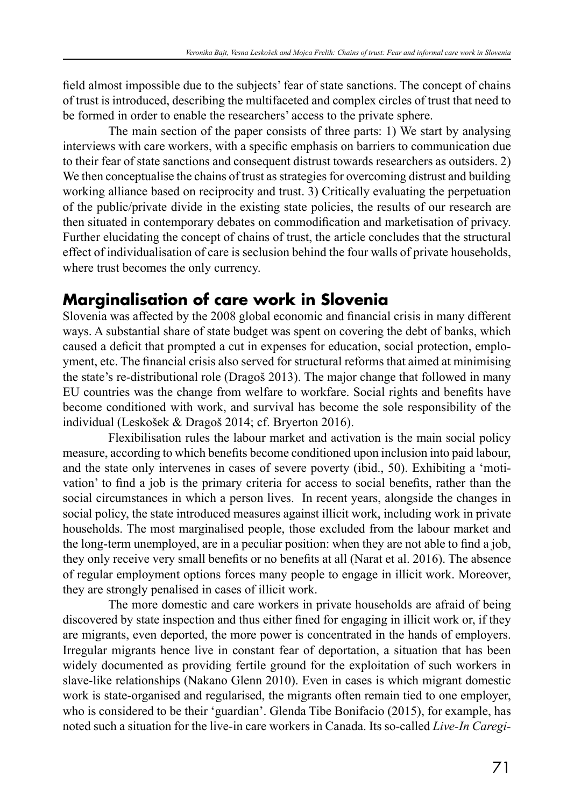field almost impossible due to the subjects' fear of state sanctions. The concept of chains of trust is introduced, describing the multifaceted and complex circles of trust that need to be formed in order to enable the researchers' access to the private sphere.

The main section of the paper consists of three parts: 1) We start by analysing interviews with care workers, with a specific emphasis on barriers to communication due to their fear of state sanctions and consequent distrust towards researchers as outsiders. 2) We then conceptualise the chains of trust as strategies for overcoming distrust and building working alliance based on reciprocity and trust. 3) Critically evaluating the perpetuation of the public/private divide in the existing state policies, the results of our research are then situated in contemporary debates on commodification and marketisation of privacy. Further elucidating the concept of chains of trust, the article concludes that the structural effect of individualisation of care is seclusion behind the four walls of private households, where trust becomes the only currency.

## **Marginalisation of care work in Slovenia**

Slovenia was affected by the 2008 global economic and financial crisis in many different ways. A substantial share of state budget was spent on covering the debt of banks, which caused a deficit that prompted a cut in expenses for education, social protection, employment, etc. The financial crisis also served for structural reforms that aimed at minimising the state's re-distributional role (Dragoš 2013). The major change that followed in many EU countries was the change from welfare to workfare. Social rights and benefits have become conditioned with work, and survival has become the sole responsibility of the individual (Leskošek & Dragoš 2014; cf. Bryerton 2016).

Flexibilisation rules the labour market and activation is the main social policy measure, according to which benefits become conditioned upon inclusion into paid labour, and the state only intervenes in cases of severe poverty (ibid., 50). Exhibiting a 'motivation' to find a job is the primary criteria for access to social benefits, rather than the social circumstances in which a person lives. In recent years, alongside the changes in social policy, the state introduced measures against illicit work, including work in private households. The most marginalised people, those excluded from the labour market and the long-term unemployed, are in a peculiar position: when they are not able to find a job, they only receive very small benefits or no benefits at all (Narat et al. 2016). The absence of regular employment options forces many people to engage in illicit work. Moreover, they are strongly penalised in cases of illicit work.

The more domestic and care workers in private households are afraid of being discovered by state inspection and thus either fined for engaging in illicit work or, if they are migrants, even deported, the more power is concentrated in the hands of employers. Irregular migrants hence live in constant fear of deportation, a situation that has been widely documented as providing fertile ground for the exploitation of such workers in slave-like relationships (Nakano Glenn 2010). Even in cases is which migrant domestic work is state-organised and regularised, the migrants often remain tied to one employer, who is considered to be their 'guardian'. Glenda Tibe Bonifacio (2015), for example, has noted such a situation for the live-in care workers in Canada. Its so-called *Live-In Caregi-*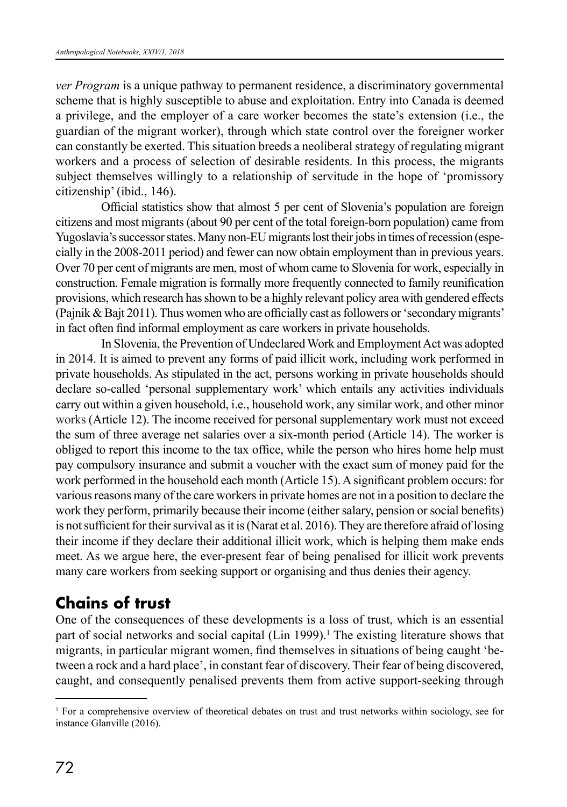*ver Program* is a unique pathway to permanent residence, a discriminatory governmental scheme that is highly susceptible to abuse and exploitation. Entry into Canada is deemed a privilege, and the employer of a care worker becomes the state's extension (i.e., the guardian of the migrant worker), through which state control over the foreigner worker can constantly be exerted. This situation breeds a neoliberal strategy of regulating migrant workers and a process of selection of desirable residents. In this process, the migrants subject themselves willingly to a relationship of servitude in the hope of 'promissory citizenship' (ibid., 146).

Official statistics show that almost 5 per cent of Slovenia's population are foreign citizens and most migrants (about 90 per cent of the total foreign-born population) came from Yugoslavia's successor states. Many non-EU migrants lost their jobs in times of recession (especially in the 2008-2011 period) and fewer can now obtain employment than in previous years. Over 70 per cent of migrants are men, most of whom came to Slovenia for work, especially in construction. Female migration is formally more frequently connected to family reunification provisions, which research has shown to be a highly relevant policy area with gendered effects (Pajnik & Bajt 2011). Thus women who are officially cast as followers or 'secondary migrants' in fact often find informal employment as care workers in private households.

In Slovenia, the Prevention of Undeclared Work and Employment Act was adopted in 2014. It is aimed to prevent any forms of paid illicit work, including work performed in private households. As stipulated in the act, persons working in private households should declare so-called 'personal supplementary work' which entails any activities individuals carry out within a given household, i.e., household work, any similar work, and other minor works (Article 12). The income received for personal supplementary work must not exceed the sum of three average net salaries over a six-month period (Article 14). The worker is obliged to report this income to the tax office, while the person who hires home help must pay compulsory insurance and submit a voucher with the exact sum of money paid for the work performed in the household each month (Article 15). A significant problem occurs: for various reasons many of the care workers in private homes are not in a position to declare the work they perform, primarily because their income (either salary, pension or social benefits) is not sufficient for their survival as it is (Narat et al. 2016). They are therefore afraid of losing their income if they declare their additional illicit work, which is helping them make ends meet. As we argue here, the ever-present fear of being penalised for illicit work prevents many care workers from seeking support or organising and thus denies their agency.

## **Chains of trust**

One of the consequences of these developments is a loss of trust, which is an essential part of social networks and social capital (Lin 1999).<sup>1</sup> The existing literature shows that migrants, in particular migrant women, find themselves in situations of being caught 'between a rock and a hard place', in constant fear of discovery. Their fear of being discovered, caught, and consequently penalised prevents them from active support-seeking through

<sup>1</sup> For a comprehensive overview of theoretical debates on trust and trust networks within sociology, see for instance Glanville (2016).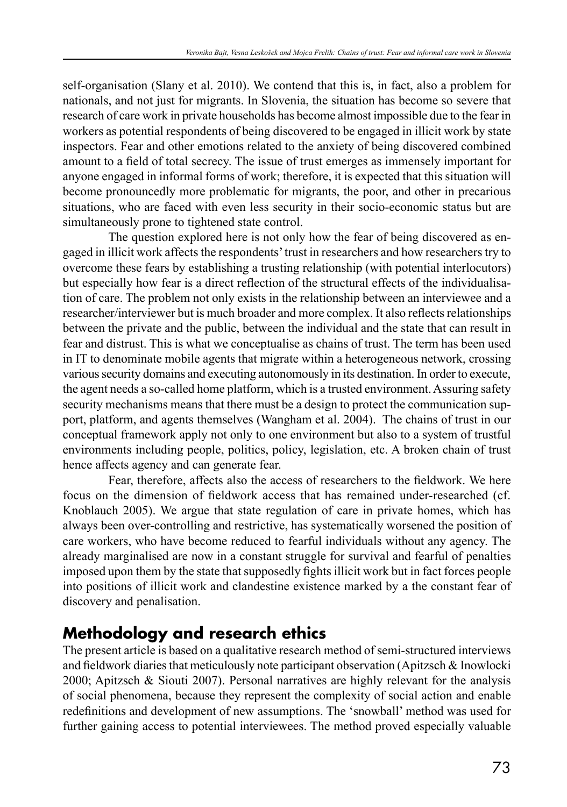self-organisation (Slany et al. 2010). We contend that this is, in fact, also a problem for nationals, and not just for migrants. In Slovenia, the situation has become so severe that research of care work in private households has become almost impossible due to the fear in workers as potential respondents of being discovered to be engaged in illicit work by state inspectors. Fear and other emotions related to the anxiety of being discovered combined amount to a field of total secrecy. The issue of trust emerges as immensely important for anyone engaged in informal forms of work; therefore, it is expected that this situation will become pronouncedly more problematic for migrants, the poor, and other in precarious situations, who are faced with even less security in their socio-economic status but are simultaneously prone to tightened state control.

The question explored here is not only how the fear of being discovered as engaged in illicit work affects the respondents' trust in researchers and how researchers try to overcome these fears by establishing a trusting relationship (with potential interlocutors) but especially how fear is a direct reflection of the structural effects of the individualisation of care. The problem not only exists in the relationship between an interviewee and a researcher/interviewer but is much broader and more complex. It also reflects relationships between the private and the public, between the individual and the state that can result in fear and distrust. This is what we conceptualise as chains of trust. The term has been used in IT to denominate mobile agents that migrate within a heterogeneous network, crossing various security domains and executing autonomously in its destination. In order to execute, the agent needs a so-called home platform, which is a trusted environment. Assuring safety security mechanisms means that there must be a design to protect the communication support, platform, and agents themselves (Wangham et al. 2004). The chains of trust in our conceptual framework apply not only to one environment but also to a system of trustful environments including people, politics, policy, legislation, etc. A broken chain of trust hence affects agency and can generate fear.

Fear, therefore, affects also the access of researchers to the fieldwork. We here focus on the dimension of fieldwork access that has remained under-researched (cf. Knoblauch 2005). We argue that state regulation of care in private homes, which has always been over-controlling and restrictive, has systematically worsened the position of care workers, who have become reduced to fearful individuals without any agency. The already marginalised are now in a constant struggle for survival and fearful of penalties imposed upon them by the state that supposedly fights illicit work but in fact forces people into positions of illicit work and clandestine existence marked by a the constant fear of discovery and penalisation.

## **Methodology and research ethics**

The present article is based on a qualitative research method of semi-structured interviews and fieldwork diaries that meticulously note participant observation (Apitzsch & Inowlocki 2000; Apitzsch & Siouti 2007). Personal narratives are highly relevant for the analysis of social phenomena, because they represent the complexity of social action and enable redefinitions and development of new assumptions. The 'snowball' method was used for further gaining access to potential interviewees. The method proved especially valuable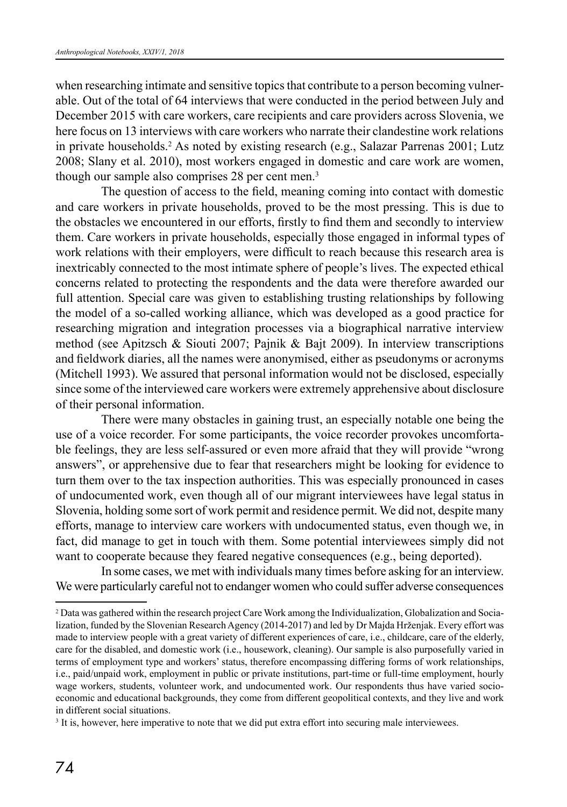when researching intimate and sensitive topics that contribute to a person becoming vulnerable. Out of the total of 64 interviews that were conducted in the period between July and December 2015 with care workers, care recipients and care providers across Slovenia, we here focus on 13 interviews with care workers who narrate their clandestine work relations in private households.2 As noted by existing research (e.g., Salazar Parrenas 2001; Lutz 2008; Slany et al. 2010), most workers engaged in domestic and care work are women, though our sample also comprises 28 per cent men.3

The question of access to the field, meaning coming into contact with domestic and care workers in private households, proved to be the most pressing. This is due to the obstacles we encountered in our efforts, firstly to find them and secondly to interview them. Care workers in private households, especially those engaged in informal types of work relations with their employers, were difficult to reach because this research area is inextricably connected to the most intimate sphere of people's lives. The expected ethical concerns related to protecting the respondents and the data were therefore awarded our full attention. Special care was given to establishing trusting relationships by following the model of a so-called working alliance, which was developed as a good practice for researching migration and integration processes via a biographical narrative interview method (see Apitzsch & Siouti 2007; Pajnik & Bajt 2009). In interview transcriptions and fieldwork diaries, all the names were anonymised, either as pseudonyms or acronyms (Mitchell 1993). We assured that personal information would not be disclosed, especially since some of the interviewed care workers were extremely apprehensive about disclosure of their personal information.

There were many obstacles in gaining trust, an especially notable one being the use of a voice recorder. For some participants, the voice recorder provokes uncomfortable feelings, they are less self-assured or even more afraid that they will provide "wrong answers", or apprehensive due to fear that researchers might be looking for evidence to turn them over to the tax inspection authorities. This was especially pronounced in cases of undocumented work, even though all of our migrant interviewees have legal status in Slovenia, holding some sort of work permit and residence permit. We did not, despite many efforts, manage to interview care workers with undocumented status, even though we, in fact, did manage to get in touch with them. Some potential interviewees simply did not want to cooperate because they feared negative consequences (e.g., being deported).

In some cases, we met with individuals many times before asking for an interview. We were particularly careful not to endanger women who could suffer adverse consequences

<sup>2</sup> Data was gathered within the research project Care Work among the Individualization, Globalization and Socialization, funded by the Slovenian Research Agency (2014-2017) and led by Dr Majda Hrženjak. Every effort was made to interview people with a great variety of different experiences of care, i.e., childcare, care of the elderly, care for the disabled, and domestic work (i.e., housework, cleaning). Our sample is also purposefully varied in terms of employment type and workers' status, therefore encompassing differing forms of work relationships, i.e., paid/unpaid work, employment in public or private institutions, part-time or full-time employment, hourly wage workers, students, volunteer work, and undocumented work. Our respondents thus have varied socioeconomic and educational backgrounds, they come from different geopolitical contexts, and they live and work in different social situations.

<sup>&</sup>lt;sup>3</sup> It is, however, here imperative to note that we did put extra effort into securing male interviewees.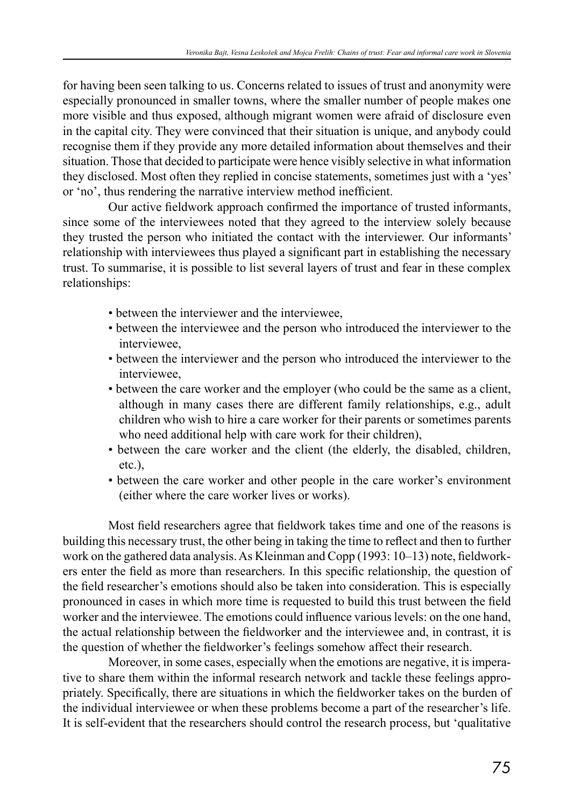for having been seen talking to us. Concerns related to issues of trust and anonymity were especially pronounced in smaller towns, where the smaller number of people makes one more visible and thus exposed, although migrant women were afraid of disclosure even in the capital city. They were convinced that their situation is unique, and anybody could recognise them if they provide any more detailed information about themselves and their situation. Those that decided to participate were hence visibly selective in what information they disclosed. Most often they replied in concise statements, sometimes just with a ʻyes' or ʻno', thus rendering the narrative interview method inefficient.

Our active fieldwork approach confirmed the importance of trusted informants, since some of the interviewees noted that they agreed to the interview solely because they trusted the person who initiated the contact with the interviewer. Our informants' relationship with interviewees thus played a significant part in establishing the necessary trust. To summarise, it is possible to list several layers of trust and fear in these complex relationships:

- between the interviewer and the interviewee,
- between the interviewee and the person who introduced the interviewer to the interviewee,
- between the interviewer and the person who introduced the interviewer to the interviewee,
- between the care worker and the employer (who could be the same as a client, although in many cases there are different family relationships, e.g., adult children who wish to hire a care worker for their parents or sometimes parents who need additional help with care work for their children),
- between the care worker and the client (the elderly, the disabled, children, etc.),
- between the care worker and other people in the care worker's environment (either where the care worker lives or works).

Most field researchers agree that fieldwork takes time and one of the reasons is building this necessary trust, the other being in taking the time to reflect and then to further work on the gathered data analysis. As Kleinman and Copp (1993: 10–13) note, fieldworkers enter the field as more than researchers. In this specific relationship, the question of the field researcher's emotions should also be taken into consideration. This is especially pronounced in cases in which more time is requested to build this trust between the field worker and the interviewee. The emotions could influence various levels: on the one hand, the actual relationship between the fieldworker and the interviewee and, in contrast, it is the question of whether the fieldworker's feelings somehow affect their research.

Moreover, in some cases, especially when the emotions are negative, it is imperative to share them within the informal research network and tackle these feelings appropriately. Specifically, there are situations in which the fieldworker takes on the burden of the individual interviewee or when these problems become a part of the researcher's life. It is self-evident that the researchers should control the research process, but 'qualitative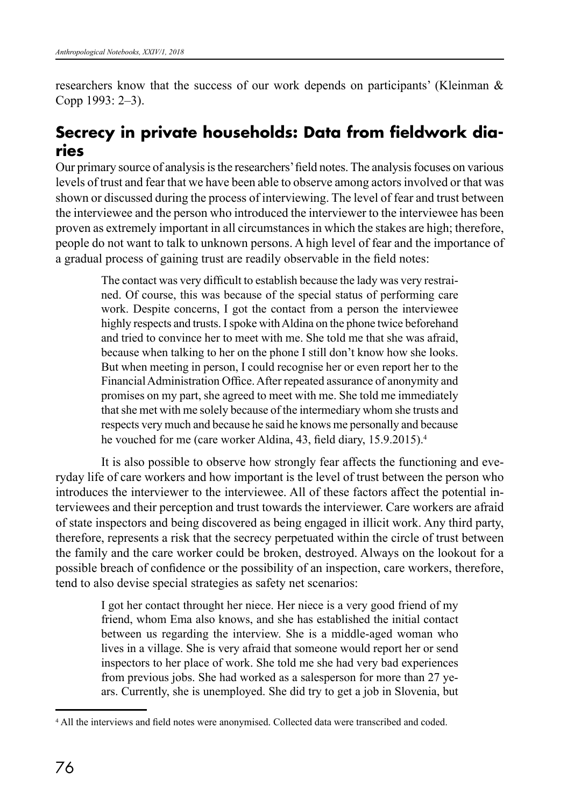researchers know that the success of our work depends on participants' (Kleinman & Copp 1993: 2–3).

# **Secrecy in private households: Data from fieldwork diaries**

Our primary source of analysis is the researchers' field notes. The analysis focuses on various levels of trust and fear that we have been able to observe among actors involved or that was shown or discussed during the process of interviewing. The level of fear and trust between the interviewee and the person who introduced the interviewer to the interviewee has been proven as extremely important in all circumstances in which the stakes are high; therefore, people do not want to talk to unknown persons. A high level of fear and the importance of a gradual process of gaining trust are readily observable in the field notes:

> The contact was very difficult to establish because the lady was very restrained. Of course, this was because of the special status of performing care work. Despite concerns, I got the contact from a person the interviewee highly respects and trusts. I spoke with Aldina on the phone twice beforehand and tried to convince her to meet with me. She told me that she was afraid, because when talking to her on the phone I still don't know how she looks. But when meeting in person, I could recognise her or even report her to the Financial Administration Office. After repeated assurance of anonymity and promises on my part, she agreed to meet with me. She told me immediately that she met with me solely because of the intermediary whom she trusts and respects very much and because he said he knows me personally and because he vouched for me (care worker Aldina, 43, field diary, 15.9.2015).<sup>4</sup>

It is also possible to observe how strongly fear affects the functioning and everyday life of care workers and how important is the level of trust between the person who introduces the interviewer to the interviewee. All of these factors affect the potential interviewees and their perception and trust towards the interviewer. Care workers are afraid of state inspectors and being discovered as being engaged in illicit work. Any third party, therefore, represents a risk that the secrecy perpetuated within the circle of trust between the family and the care worker could be broken, destroyed. Always on the lookout for a possible breach of confidence or the possibility of an inspection, care workers, therefore, tend to also devise special strategies as safety net scenarios:

> I got her contact throught her niece. Her niece is a very good friend of my friend, whom Ema also knows, and she has established the initial contact between us regarding the interview. She is a middle-aged woman who lives in a village. She is very afraid that someone would report her or send inspectors to her place of work. She told me she had very bad experiences from previous jobs. She had worked as a salesperson for more than 27 years. Currently, she is unemployed. She did try to get a job in Slovenia, but

<sup>4</sup> All the interviews and field notes were anonymised. Collected data were transcribed and coded.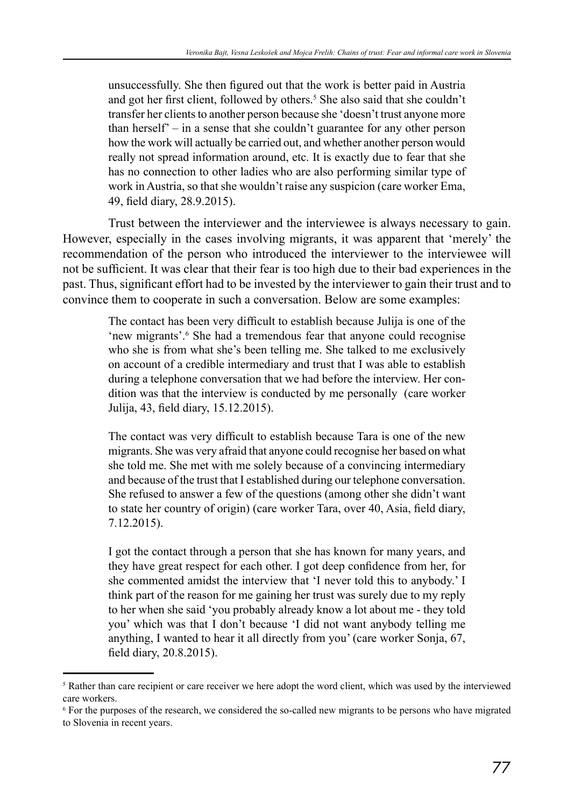unsuccessfully. She then figured out that the work is better paid in Austria and got her first client, followed by others.<sup>5</sup> She also said that she couldn't transfer her clients to another person because she 'doesn't trust anyone more than herself' – in a sense that she couldn't guarantee for any other person how the work will actually be carried out, and whether another person would really not spread information around, etc. It is exactly due to fear that she has no connection to other ladies who are also performing similar type of work in Austria, so that she wouldn't raise any suspicion (care worker Ema, 49, field diary, 28.9.2015).

Trust between the interviewer and the interviewee is always necessary to gain. However, especially in the cases involving migrants, it was apparent that 'merely' the recommendation of the person who introduced the interviewer to the interviewee will not be sufficient. It was clear that their fear is too high due to their bad experiences in the past. Thus, significant effort had to be invested by the interviewer to gain their trust and to convince them to cooperate in such a conversation. Below are some examples:

> The contact has been very difficult to establish because Julija is one of the 'new migrants'.<sup>6</sup> She had a tremendous fear that anyone could recognise who she is from what she's been telling me. She talked to me exclusively on account of a credible intermediary and trust that I was able to establish during a telephone conversation that we had before the interview. Her condition was that the interview is conducted by me personally (care worker Julija, 43, field diary, 15.12.2015).

> The contact was very difficult to establish because Tara is one of the new migrants. She was very afraid that anyone could recognise her based on what she told me. She met with me solely because of a convincing intermediary and because of the trust that I established during our telephone conversation. She refused to answer a few of the questions (among other she didn't want to state her country of origin) (care worker Tara, over 40, Asia, field diary, 7.12.2015).

> I got the contact through a person that she has known for many years, and they have great respect for each other. I got deep confidence from her, for she commented amidst the interview that 'I never told this to anybody.' I think part of the reason for me gaining her trust was surely due to my reply to her when she said 'you probably already know a lot about me - they told you' which was that I don't because 'I did not want anybody telling me anything, I wanted to hear it all directly from you' (care worker Sonja, 67, field diary, 20.8.2015).

<sup>&</sup>lt;sup>5</sup> Rather than care recipient or care receiver we here adopt the word client, which was used by the interviewed care workers.

<sup>6</sup> For the purposes of the research, we considered the so-called new migrants to be persons who have migrated to Slovenia in recent years.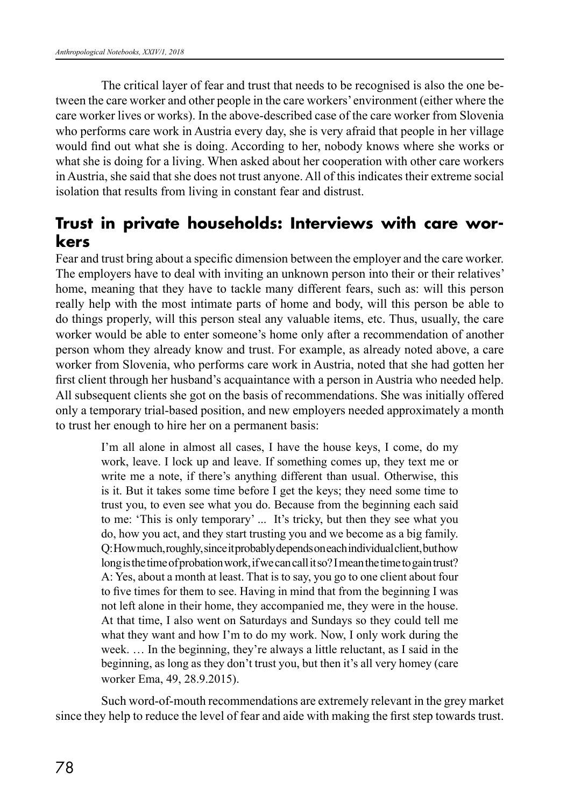The critical layer of fear and trust that needs to be recognised is also the one between the care worker and other people in the care workers' environment (either where the care worker lives or works). In the above-described case of the care worker from Slovenia who performs care work in Austria every day, she is very afraid that people in her village would find out what she is doing. According to her, nobody knows where she works or what she is doing for a living. When asked about her cooperation with other care workers in Austria, she said that she does not trust anyone. All of this indicates their extreme social isolation that results from living in constant fear and distrust.

## **Trust in private households: Interviews with care workers**

Fear and trust bring about a specific dimension between the employer and the care worker. The employers have to deal with inviting an unknown person into their or their relatives' home, meaning that they have to tackle many different fears, such as: will this person really help with the most intimate parts of home and body, will this person be able to do things properly, will this person steal any valuable items, etc. Thus, usually, the care worker would be able to enter someone's home only after a recommendation of another person whom they already know and trust. For example, as already noted above, a care worker from Slovenia, who performs care work in Austria, noted that she had gotten her first client through her husband's acquaintance with a person in Austria who needed help. All subsequent clients she got on the basis of recommendations. She was initially offered only a temporary trial-based position, and new employers needed approximately a month to trust her enough to hire her on a permanent basis:

> I'm all alone in almost all cases, I have the house keys, I come, do my work, leave. I lock up and leave. If something comes up, they text me or write me a note, if there's anything different than usual. Otherwise, this is it. But it takes some time before I get the keys; they need some time to trust you, to even see what you do. Because from the beginning each said to me: 'This is only temporary' ... It's tricky, but then they see what you do, how you act, and they start trusting you and we become as a big family. Q: How much, roughly, since it probably depends on each individual client, but how long is the time of probation work, if we can call it so? I mean the time to gain trust? A: Yes, about a month at least. That is to say, you go to one client about four to five times for them to see. Having in mind that from the beginning I was not left alone in their home, they accompanied me, they were in the house. At that time, I also went on Saturdays and Sundays so they could tell me what they want and how I'm to do my work. Now, I only work during the week. … In the beginning, they're always a little reluctant, as I said in the beginning, as long as they don't trust you, but then it's all very homey (care worker Ema, 49, 28.9.2015).

Such word-of-mouth recommendations are extremely relevant in the grey market since they help to reduce the level of fear and aide with making the first step towards trust.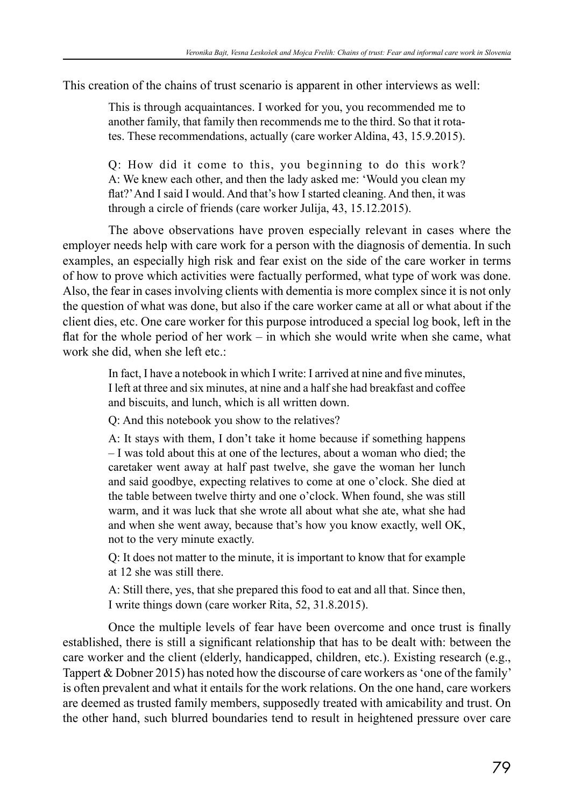This creation of the chains of trust scenario is apparent in other interviews as well:

This is through acquaintances. I worked for you, you recommended me to another family, that family then recommends me to the third. So that it rotates. These recommendations, actually (care worker Aldina, 43, 15.9.2015).

Q: How did it come to this, you beginning to do this work? A: We knew each other, and then the lady asked me: 'Would you clean my flat?' And I said I would. And that's how I started cleaning. And then, it was through a circle of friends (care worker Julija, 43, 15.12.2015).

The above observations have proven especially relevant in cases where the employer needs help with care work for a person with the diagnosis of dementia. In such examples, an especially high risk and fear exist on the side of the care worker in terms of how to prove which activities were factually performed, what type of work was done. Also, the fear in cases involving clients with dementia is more complex since it is not only the question of what was done, but also if the care worker came at all or what about if the client dies, etc. One care worker for this purpose introduced a special log book, left in the flat for the whole period of her work – in which she would write when she came, what work she did, when she left etc.:

> In fact, I have a notebook in which I write: I arrived at nine and five minutes, I left at three and six minutes, at nine and a half she had breakfast and coffee and biscuits, and lunch, which is all written down.

Q: And this notebook you show to the relatives?

A: It stays with them, I don't take it home because if something happens – I was told about this at one of the lectures, about a woman who died; the caretaker went away at half past twelve, she gave the woman her lunch and said goodbye, expecting relatives to come at one o'clock. She died at the table between twelve thirty and one o'clock. When found, she was still warm, and it was luck that she wrote all about what she ate, what she had and when she went away, because that's how you know exactly, well OK, not to the very minute exactly.

Q: It does not matter to the minute, it is important to know that for example at 12 she was still there.

A: Still there, yes, that she prepared this food to eat and all that. Since then, I write things down (care worker Rita, 52, 31.8.2015).

Once the multiple levels of fear have been overcome and once trust is finally established, there is still a significant relationship that has to be dealt with: between the care worker and the client (elderly, handicapped, children, etc.). Existing research (e.g., Tappert & Dobner 2015) has noted how the discourse of care workers as 'one of the family' is often prevalent and what it entails for the work relations. On the one hand, care workers are deemed as trusted family members, supposedly treated with amicability and trust. On the other hand, such blurred boundaries tend to result in heightened pressure over care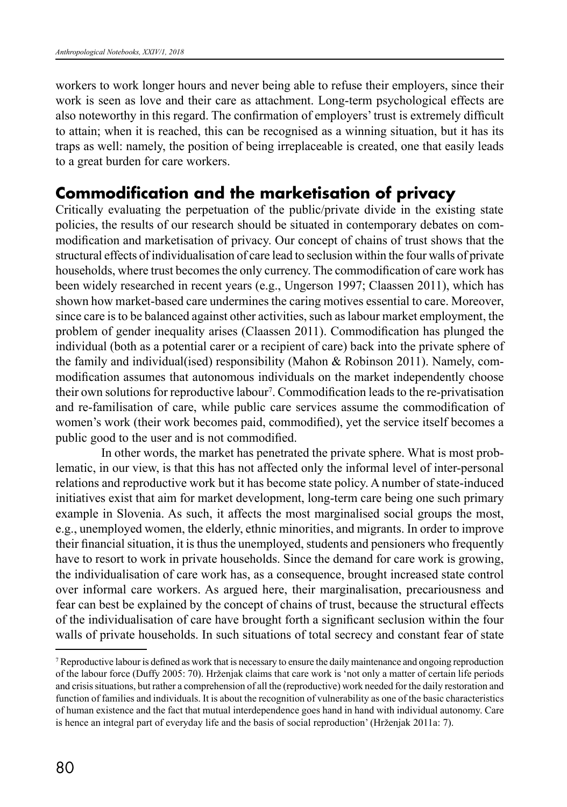workers to work longer hours and never being able to refuse their employers, since their work is seen as love and their care as attachment. Long-term psychological effects are also noteworthy in this regard. The confirmation of employers' trust is extremely difficult to attain; when it is reached, this can be recognised as a winning situation, but it has its traps as well: namely, the position of being irreplaceable is created, one that easily leads to a great burden for care workers.

## **Commodification and the marketisation of privacy**

Critically evaluating the perpetuation of the public/private divide in the existing state policies, the results of our research should be situated in contemporary debates on commodification and marketisation of privacy. Our concept of chains of trust shows that the structural effects of individualisation of care lead to seclusion within the four walls of private households, where trust becomes the only currency. The commodification of care work has been widely researched in recent years (e.g., Ungerson 1997; Claassen 2011), which has shown how market-based care undermines the caring motives essential to care. Moreover, since care is to be balanced against other activities, such as labour market employment, the problem of gender inequality arises (Claassen 2011). Commodification has plunged the individual (both as a potential carer or a recipient of care) back into the private sphere of the family and individual(ised) responsibility (Mahon & Robinson 2011). Namely, commodification assumes that autonomous individuals on the market independently choose their own solutions for reproductive labour7 . Commodification leads to the re-privatisation and re-familisation of care, while public care services assume the commodification of women's work (their work becomes paid, commodified), yet the service itself becomes a public good to the user and is not commodified.

In other words, the market has penetrated the private sphere. What is most problematic, in our view, is that this has not affected only the informal level of inter-personal relations and reproductive work but it has become state policy. A number of state-induced initiatives exist that aim for market development, long-term care being one such primary example in Slovenia. As such, it affects the most marginalised social groups the most, e.g., unemployed women, the elderly, ethnic minorities, and migrants. In order to improve their financial situation, it is thus the unemployed, students and pensioners who frequently have to resort to work in private households. Since the demand for care work is growing, the individualisation of care work has, as a consequence, brought increased state control over informal care workers. As argued here, their marginalisation, precariousness and fear can best be explained by the concept of chains of trust, because the structural effects of the individualisation of care have brought forth a significant seclusion within the four walls of private households. In such situations of total secrecy and constant fear of state

<sup>7</sup> Reproductive labour is defined as work that is necessary to ensure the daily maintenance and ongoing reproduction of the labour force (Duffy 2005: 70). Hrženjak claims that care work is 'not only a matter of certain life periods and crisis situations, but rather a comprehension of all the (reproductive) work needed for the daily restoration and function of families and individuals. It is about the recognition of vulnerability as one of the basic characteristics of human existence and the fact that mutual interdependence goes hand in hand with individual autonomy. Care is hence an integral part of everyday life and the basis of social reproduction' (Hrženjak 2011a: 7).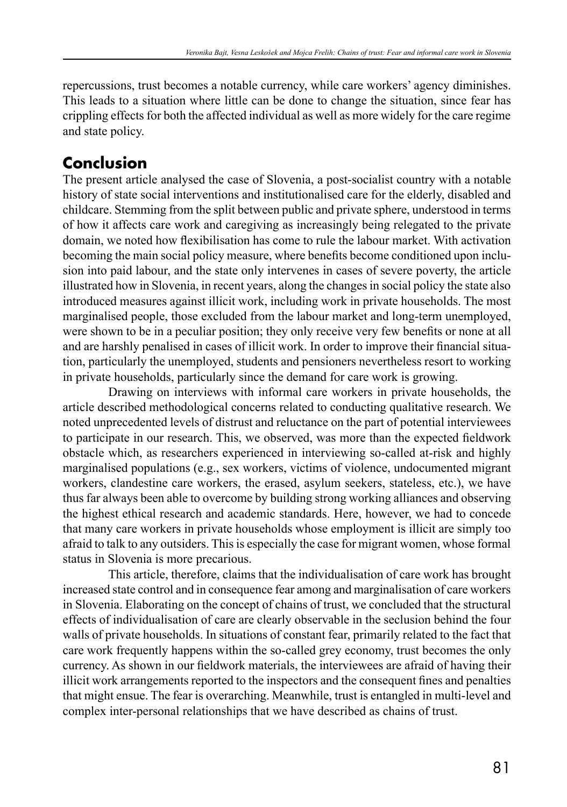repercussions, trust becomes a notable currency, while care workers' agency diminishes. This leads to a situation where little can be done to change the situation, since fear has crippling effects for both the affected individual as well as more widely for the care regime and state policy.

# **Conclusion**

The present article analysed the case of Slovenia, a post-socialist country with a notable history of state social interventions and institutionalised care for the elderly, disabled and childcare. Stemming from the split between public and private sphere, understood in terms of how it affects care work and caregiving as increasingly being relegated to the private domain, we noted how flexibilisation has come to rule the labour market. With activation becoming the main social policy measure, where benefits become conditioned upon inclusion into paid labour, and the state only intervenes in cases of severe poverty, the article illustrated how in Slovenia, in recent years, along the changes in social policy the state also introduced measures against illicit work, including work in private households. The most marginalised people, those excluded from the labour market and long-term unemployed, were shown to be in a peculiar position; they only receive very few benefits or none at all and are harshly penalised in cases of illicit work. In order to improve their financial situation, particularly the unemployed, students and pensioners nevertheless resort to working in private households, particularly since the demand for care work is growing.

Drawing on interviews with informal care workers in private households, the article described methodological concerns related to conducting qualitative research. We noted unprecedented levels of distrust and reluctance on the part of potential interviewees to participate in our research. This, we observed, was more than the expected fieldwork obstacle which, as researchers experienced in interviewing so-called at-risk and highly marginalised populations (e.g., sex workers, victims of violence, undocumented migrant workers, clandestine care workers, the erased, asylum seekers, stateless, etc.), we have thus far always been able to overcome by building strong working alliances and observing the highest ethical research and academic standards. Here, however, we had to concede that many care workers in private households whose employment is illicit are simply too afraid to talk to any outsiders. This is especially the case for migrant women, whose formal status in Slovenia is more precarious.

This article, therefore, claims that the individualisation of care work has brought increased state control and in consequence fear among and marginalisation of care workers in Slovenia. Elaborating on the concept of chains of trust, we concluded that the structural effects of individualisation of care are clearly observable in the seclusion behind the four walls of private households. In situations of constant fear, primarily related to the fact that care work frequently happens within the so-called grey economy, trust becomes the only currency. As shown in our fieldwork materials, the interviewees are afraid of having their illicit work arrangements reported to the inspectors and the consequent fines and penalties that might ensue. The fear is overarching. Meanwhile, trust is entangled in multi-level and complex inter-personal relationships that we have described as chains of trust.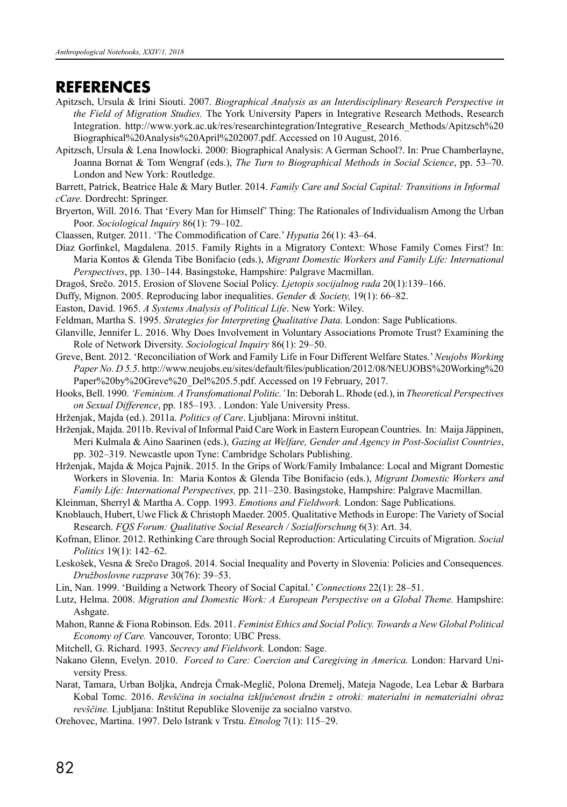#### **REFERENCES**

- Apitzsch, Ursula & Irini Siouti. 2007. *Biographical Analysis as an Interdisciplinary Research Perspective in the Field of Migration Studies.* The York University Papers in Integrative Research Methods, Research Integration. http://www.york.ac.uk/res/researchintegration/Integrative\_Research\_Methods/Apitzsch%20 Biographical%20Analysis%20April%202007.pdf. Accessed on 10 August, 2016.
- Apitzsch, Ursula & Lena Inowlocki. 2000: Biographical Analysis: A German School?. In: Prue Chamberlayne, Joanna Bornat & Tom Wengraf (eds.), *The Turn to Biographical Methods in Social Science*, pp. 53–70. London and New York: Routledge.
- Barrett, Patrick, Beatrice Hale & Mary Butler. 2014. *Family Care and Social Capital: Transitions in Informal cCare.* Dordrecht: Springer.
- Bryerton, Will. 2016. That 'Every Man for Himself' Thing: The Rationales of Individualism Among the Urban Poor. *Sociological Inquiry* 86(1): 79–102.
- Claassen, Rutger. 2011. 'The Commodification of Care.' *Hypatia* 26(1): 43–64.
- Díaz Gorfinkel, Magdalena. 2015. Family Rights in a Migratory Context: Whose Family Comes First? In: Maria Kontos & Glenda Tibe Bonifacio (eds.), *Migrant Domestic Workers and Family Life: International Perspectives*, pp. 130–144. Basingstoke, Hampshire: Palgrave Macmillan.
- Dragoš, Srečo. 2015. Erosion of Slovene Social Policy. *Ljetopis socijalnog rada* 20(1):139–166.
- Duffy, Mignon. 2005. Reproducing labor inequalities. *Gender & Society,* 19(1): 66–82.
- Easton, David. 1965. *A Systems Analysis of Political Life*. New York: Wiley.
- Feldman, Martha S. 1995. *Strategies for Interpreting Qualitative Data.* London: Sage Publications.
- Glanville, Jennifer L. 2016. Why Does Involvement in Voluntary Associations Promote Trust? Examining the Role of Network Diversity. *Sociological Inquiry* 86(1): 29–50.
- Greve, Bent. 2012. 'Reconciliation of Work and Family Life in Four Different Welfare States.' *Neujobs Working Paper No. D 5.5*. http://www.neujobs.eu/sites/default/files/publication/2012/08/NEUJOBS%20Working%20 Paper%20by%20Greve%20\_Del%205.5.pdf. Accessed on 19 February, 2017.
- Hooks, Bell. 1990. *'Feminism. A Transfomational Politic.'* In: Deborah L. Rhode (ed.), in *Theoretical Perspectives on Sexual Difference*, pp. 185–193. . London: Yale University Press.
- Hrženjak, Majda (ed.). 2011a. *Politics of Care*. Ljubljana: Mirovni inštitut.
- Hrženjak, Majda. 2011b. Revival of Informal Paid Care Work in Eastern European Countries. In: Maija Jäppinen, Meri Kulmala & Aino Saarinen (eds.), *Gazing at Welfare, Gender and Agency in Post-Socialist Countries*, pp. 302–319. Newcastle upon Tyne: Cambridge Scholars Publishing.
- Hrženjak, Majda & Mojca Pajnik. 2015. In the Grips of Work/Family Imbalance: Local and Migrant Domestic Workers in Slovenia. In: Maria Kontos & Glenda Tibe Bonifacio (eds.), *Migrant Domestic Workers and Family Life: International Perspectives,* pp. 211–230. Basingstoke, Hampshire: Palgrave Macmillan.
- Kleinman, Sherryl & Martha A. Copp. 1993. *Emotions and Fieldwork.* London: Sage Publications.
- Knoblauch, Hubert, Uwe Flick & Christoph Maeder. 2005. Qualitative Methods in Europe: The Variety of Social Research. *FQS Forum: Qualitative Social Research / Sozialforschung* 6(3): Art. 34.
- Kofman, Elinor. 2012. Rethinking Care through Social Reproduction: Articulating Circuits of Migration. *Social Politics* 19(1): 142–62.
- Leskošek, Vesna & Srečo Dragoš. 2014. Social Inequality and Poverty in Slovenia: Policies and Consequences. *Družboslovne razprave* 30(76): 39–53.
- Lin, Nan. 1999. 'Building a Network Theory of Social Capital.' *Connections* 22(1): 28–51.
- Lutz, Helma. 2008. *Migration and Domestic Work: A European Perspective on a Global Theme.* Hampshire: Ashgate.
- Mahon, Ranne & Fiona Robinson. Eds. 2011. *Feminist Ethics and Social Policy. Towards a New Global Political Economy of Care.* Vancouver, Toronto: UBC Press.
- Mitchell, G. Richard. 1993. *Secrecy and Fieldwork.* London: Sage.
- Nakano Glenn, Evelyn. 2010. *Forced to Care: Coercion and Caregiving in America.* London: Harvard University Press.
- Narat, Tamara, Urban Boljka, Andreja Črnak-Meglič, Polona Dremelj, Mateja Nagode, Lea Lebar & Barbara Kobal Tomc. 2016. *Revščina in socialna izključenost družin z otroki: materialni in nematerialni obraz revščine.* Ljubljana: Inštitut Republike Slovenije za socialno varstvo.
- Orehovec, Martina. 1997. Delo Istrank v Trstu. *Etnolog* 7(1): 115–29.